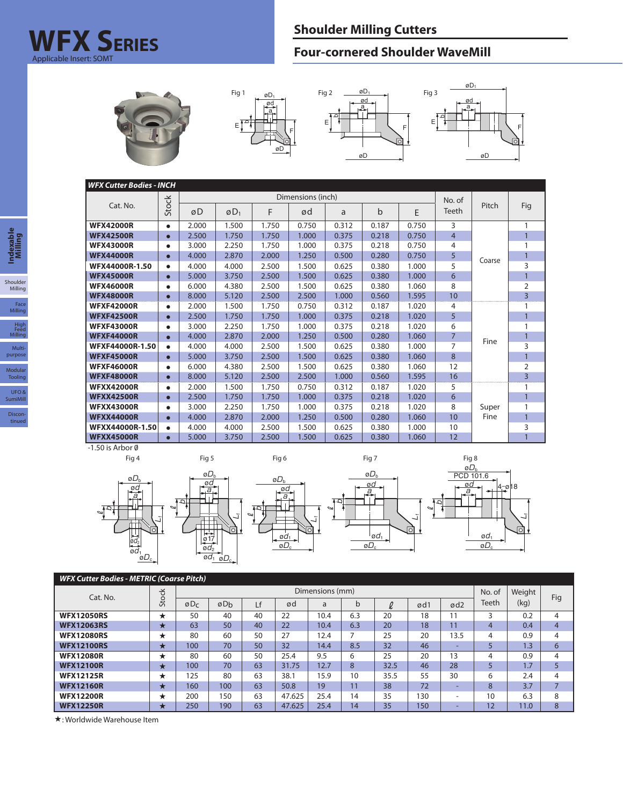## **Shoulder Milling Cutters WFX S Four-cornered Shoulder WaveMill ERIES** Applicable Insert: SOMT









| <b>WFX Cutter Bodies - INCH</b><br>Dimensions (inch) |              |       |        |       |        |       |       |       |                |               |                |  |
|------------------------------------------------------|--------------|-------|--------|-------|--------|-------|-------|-------|----------------|---------------|----------------|--|
|                                                      |              |       |        |       | No. of |       |       |       |                |               |                |  |
| Cat. No.                                             | <b>Stock</b> | øD    | $ØD_1$ | F     | ød     | a     | b     | E     | Teeth          | Pitch         | Fig            |  |
| <b>WFX42000R</b>                                     | $\bullet$    | 2.000 | 1.500  | 1.750 | 0.750  | 0.312 | 0.187 | 0.750 | 3              |               |                |  |
| <b>WFX42500R</b>                                     | $\bullet$    | 2.500 | 1.750  | 1.750 | 1.000  | 0.375 | 0.218 | 0.750 | $\overline{4}$ |               |                |  |
| <b>WFX43000R</b>                                     | $\bullet$    | 3.000 | 2.250  | 1.750 | 1.000  | 0.375 | 0.218 | 0.750 | 4              | Coarse        |                |  |
| <b>WFX44000R</b>                                     | $\bullet$    | 4.000 | 2.870  | 2.000 | 1.250  | 0.500 | 0.280 | 0.750 | 5              |               |                |  |
| WFX44000R-1.50                                       | ٠            | 4.000 | 4.000  | 2.500 | 1.500  | 0.625 | 0.380 | 1.000 | 5              |               | 3              |  |
| <b>WFX45000R</b>                                     | $\bullet$    | 5.000 | 3.750  | 2.500 | 1.500  | 0.625 | 0.380 | 1.000 | 6              |               |                |  |
| <b>WFX46000R</b>                                     | $\bullet$    | 6.000 | 4.380  | 2.500 | 1.500  | 0.625 | 0.380 | 1.060 | 8              |               | 2              |  |
| <b>WFX48000R</b>                                     | $\bullet$    | 8.000 | 5.120  | 2.500 | 2.500  | 1.000 | 0.560 | 1.595 | 10             |               | $\overline{3}$ |  |
| <b>WFXF42000R</b>                                    | $\bullet$    | 2.000 | 1.500  | 1.750 | 0.750  | 0.312 | 0.187 | 1.020 | 4              | Fine          |                |  |
| <b>WFXF42500R</b>                                    | $\bullet$    | 2.500 | 1.750  | 1.750 | 1.000  | 0.375 | 0.218 | 1.020 | 5              |               |                |  |
| <b>WFXF43000R</b>                                    | $\bullet$    | 3.000 | 2.250  | 1.750 | 1.000  | 0.375 | 0.218 | 1.020 | 6              |               |                |  |
| <b>WFXF44000R</b>                                    | $\bullet$    | 4.000 | 2.870  | 2.000 | 1.250  | 0.500 | 0.280 | 1.060 | $\overline{7}$ |               |                |  |
| WFXF44000R-1.50                                      | $\bullet$    | 4.000 | 4.000  | 2.500 | 1.500  | 0.625 | 0.380 | 1.000 | 7              |               | 3              |  |
| <b>WFXF45000R</b>                                    | $\bullet$    | 5.000 | 3.750  | 2.500 | 1.500  | 0.625 | 0.380 | 1.060 | 8              |               |                |  |
| <b>WFXF46000R</b>                                    | $\bullet$    | 6.000 | 4.380  | 2.500 | 1.500  | 0.625 | 0.380 | 1.060 | 12             |               | 2              |  |
| <b>WFXF48000R</b>                                    | $\bullet$    | 8.000 | 5.120  | 2.500 | 2.500  | 1.000 | 0.560 | 1.595 | 16             |               | $\overline{3}$ |  |
| <b>WFXX42000R</b>                                    | $\bullet$    | 2.000 | 1.500  | 1.750 | 0.750  | 0.312 | 0.187 | 1.020 | 5              |               |                |  |
| <b>WFXX42500R</b>                                    | $\bullet$    | 2.500 | 1.750  | 1.750 | 1.000  | 0.375 | 0.218 | 1.020 | 6              | Super<br>Fine | $\mathbf{1}$   |  |
| <b>WFXX43000R</b>                                    | $\bullet$    | 3.000 | 2.250  | 1.750 | 1.000  | 0.375 | 0.218 | 1.020 | 8              |               |                |  |
| <b>WFXX44000R</b>                                    | $\bullet$    | 4.000 | 2.870  | 2.000 | 1.250  | 0.500 | 0.280 | 1.060 | 10             |               |                |  |
| WFXX44000R-1.50                                      | $\bullet$    | 4.000 | 4.000  | 2.500 | 1.500  | 0.625 | 0.380 | 1.000 | 10             |               | 3              |  |
| <b>WFXX45000R</b>                                    | $\bullet$    | 5.000 | 3.750  | 2.500 | 1.500  | 0.625 | 0.380 | 1.060 | 12             |               |                |  |

 $-1.50$  is Arbor  $\emptyset$ 



| <b>WFX Cutter Bodies - METRIC (Coarse Pitch)</b> |          |        |                 |    |        |      |     |      |     |                 |       |        |                |
|--------------------------------------------------|----------|--------|-----------------|----|--------|------|-----|------|-----|-----------------|-------|--------|----------------|
| Cat. No.                                         | Stock    |        | Dimensions (mm) |    |        |      |     |      |     |                 |       | Weight |                |
|                                                  |          | $ØD_C$ | øDh             | Lf | ød     | a    | b   | l    | ød1 | ød <sub>2</sub> | Teeth | (kg)   | Fig            |
| <b>WFX12050RS</b>                                | *        | 50     | 40              | 40 | 22     | 10.4 | 6.3 | 20   | 18  |                 |       | 0.2    | 4              |
| <b>WFX12063RS</b>                                | $\star$  | 63     | 50              | 40 | 22     | 10.4 | 6.3 | 20   | 18  | 11              | 4     | 0.4    | $\overline{4}$ |
| <b>WFX12080RS</b>                                | *        | 80     | 60              | 50 | 27     | 12.4 |     | 25   | 20  | 13.5            | 4     | 0.9    | 4              |
| <b>WFX12100RS</b>                                | ★        | 100    | 70              | 50 | 32     | 14.4 | 8.5 | 32   | 46  | -               |       | 1.3    | 6              |
| <b>WFX12080R</b>                                 | *        | 80     | 60              | 50 | 25.4   | 9.5  | 6   | 25   | 20  | 13              | 4     | 0.9    | 4              |
| <b>WFX12100R</b>                                 | $\star$  | 100    | 70              | 63 | 31.75  | 12.7 | 8   | 32.5 | 46  | 28              |       | 1.7    |                |
| <b>WFX12125R</b>                                 | $^\star$ | 125    | 80              | 63 | 38.1   | 15.9 | 10  | 35.5 | 55  | 30              | 6     | 2.4    | 4              |
| <b>WFX12160R</b>                                 | $\star$  | 160    | 100             | 63 | 50.8   | 19   | 11  | 38   | 72  |                 | 8     | 3.7    |                |
| <b>WFX12200R</b>                                 | $^\star$ | 200    | 150             | 63 | 47.625 | 25.4 | 14  | 35   | 130 | ۰               | 10    | 6.3    | 8              |
| <b>WFX12250R</b>                                 | ★        | 250    | 190             | 63 | 47.625 | 25.4 | 14  | 35   | 150 | -               | 12    | 11.0   | 8              |

: Worldwide Warehouse Item